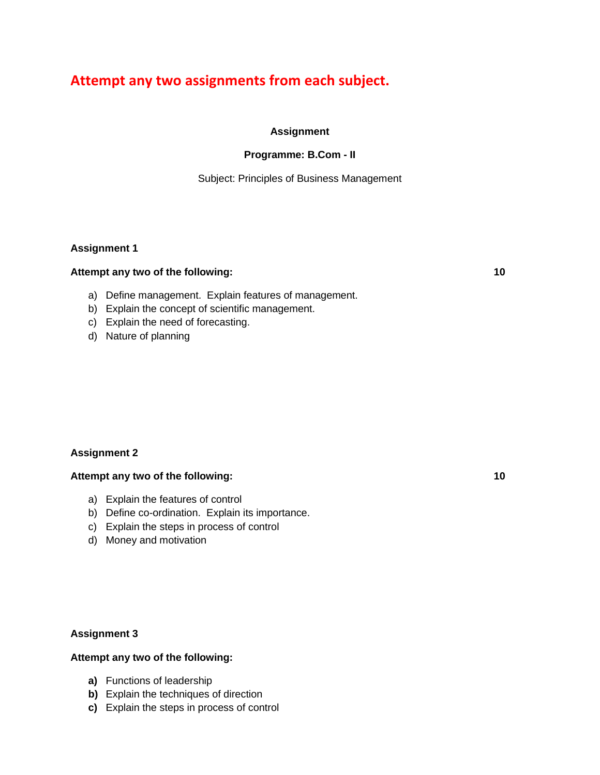# **Attempt any two assignments from each subject.**

## **Assignment**

## **Programme: B.Com - II**

Subject: Principles of Business Management

## **Assignment 1**

## **Attempt any two of the following: 10**

- a) Define management. Explain features of management.
- b) Explain the concept of scientific management.
- c) Explain the need of forecasting.
- d) Nature of planning

# **Assignment 2**

## **Attempt any two of the following: 10**

- a) Explain the features of control
- b) Define co-ordination. Explain its importance.
- c) Explain the steps in process of control
- d) Money and motivation

## **Assignment 3**

- **a)** Functions of leadership
- **b)** Explain the techniques of direction
- **c)** Explain the steps in process of control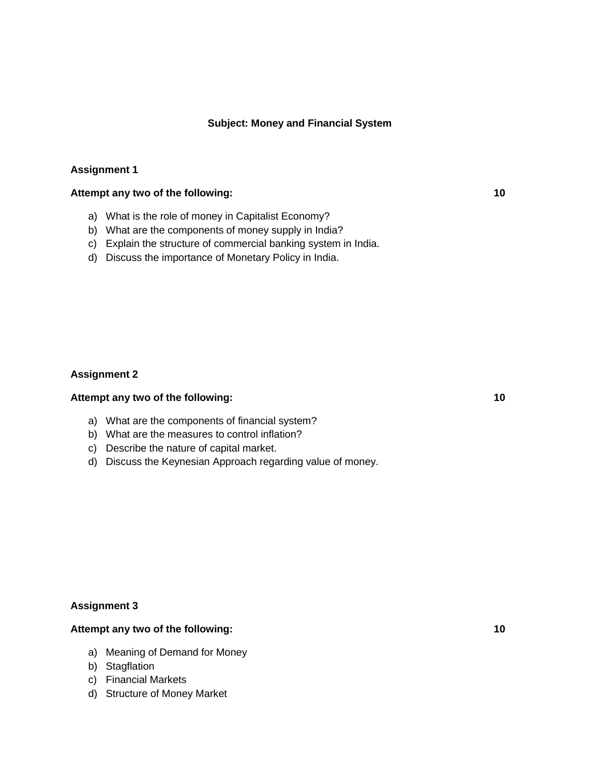#### **Subject: Money and Financial System**

#### **Assignment 1**

#### **Attempt any two of the following: 10**

- a) What is the role of money in Capitalist Economy?
- b) What are the components of money supply in India?
- c) Explain the structure of commercial banking system in India.
- d) Discuss the importance of Monetary Policy in India.

## **Assignment 2**

## **Attempt any two of the following: 10**

- a) What are the components of financial system?
- b) What are the measures to control inflation?
- c) Describe the nature of capital market.
- d) Discuss the Keynesian Approach regarding value of money.

## **Assignment 3**

- a) Meaning of Demand for Money
- b) Stagflation
- c) Financial Markets
- d) Structure of Money Market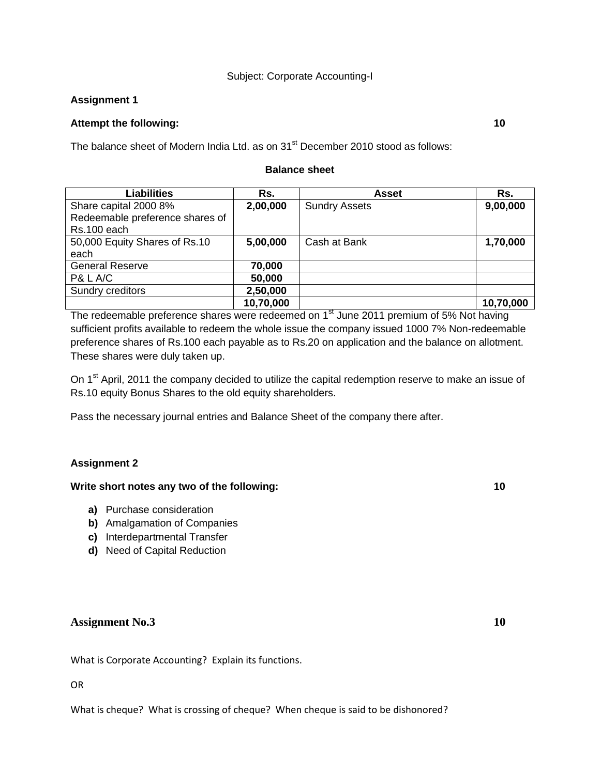#### Subject: Corporate Accounting-I

## **Assignment 1**

## **Attempt the following: 10**

The balance sheet of Modern India Ltd. as on 31<sup>st</sup> December 2010 stood as follows:

#### **Balance sheet**

| <b>Liabilities</b>              | Rs.       | Asset                | Rs.       |
|---------------------------------|-----------|----------------------|-----------|
| Share capital 2000 8%           | 2,00,000  | <b>Sundry Assets</b> | 9,00,000  |
| Redeemable preference shares of |           |                      |           |
| Rs.100 each                     |           |                      |           |
| 50,000 Equity Shares of Rs.10   | 5,00,000  | Cash at Bank         | 1,70,000  |
| each                            |           |                      |           |
| <b>General Reserve</b>          | 70,000    |                      |           |
| P& L A/C                        | 50,000    |                      |           |
| Sundry creditors                | 2,50,000  |                      |           |
|                                 | 10,70,000 |                      | 10,70,000 |

The redeemable preference shares were redeemed on 1<sup>st</sup> June 2011 premium of 5% Not having sufficient profits available to redeem the whole issue the company issued 1000 7% Non-redeemable preference shares of Rs.100 each payable as to Rs.20 on application and the balance on allotment. These shares were duly taken up.

On 1<sup>st</sup> April, 2011 the company decided to utilize the capital redemption reserve to make an issue of Rs.10 equity Bonus Shares to the old equity shareholders.

Pass the necessary journal entries and Balance Sheet of the company there after.

## **Assignment 2**

## **Write short notes any two of the following: 10**

- **a)** Purchase consideration
- **b)** Amalgamation of Companies
- **c)** Interdepartmental Transfer
- **d)** Need of Capital Reduction

## **Assignment No.3 10**

What is Corporate Accounting? Explain its functions.

#### OR

What is cheque? What is crossing of cheque? When cheque is said to be dishonored?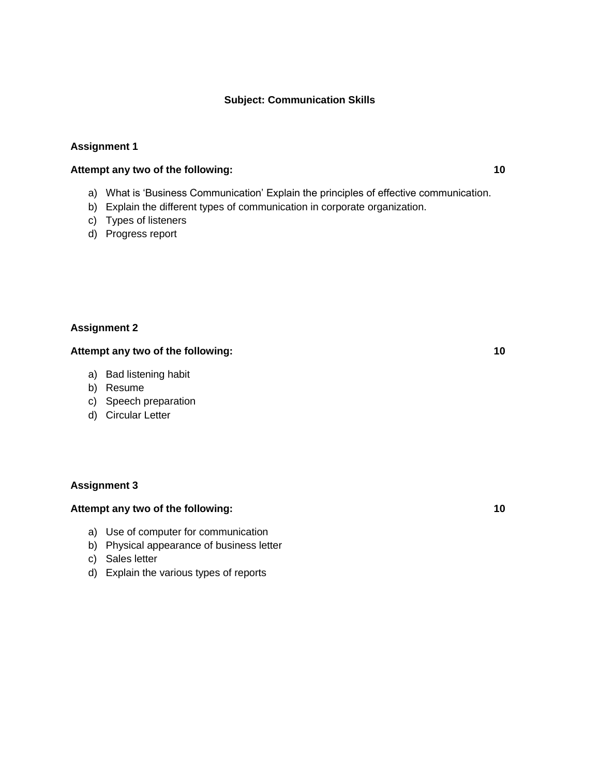## **Subject: Communication Skills**

#### **Assignment 1**

# **Attempt any two of the following: 10**

- a) What is 'Business Communication' Explain the principles of effective communication.
- b) Explain the different types of communication in corporate organization.
- c) Types of listeners
- d) Progress report

#### **Assignment 2**

## **Attempt any two of the following: 10**

- a) Bad listening habit
- b) Resume
- c) Speech preparation
- d) Circular Letter

#### **Assignment 3**

- a) Use of computer for communication
- b) Physical appearance of business letter
- c) Sales letter
- d) Explain the various types of reports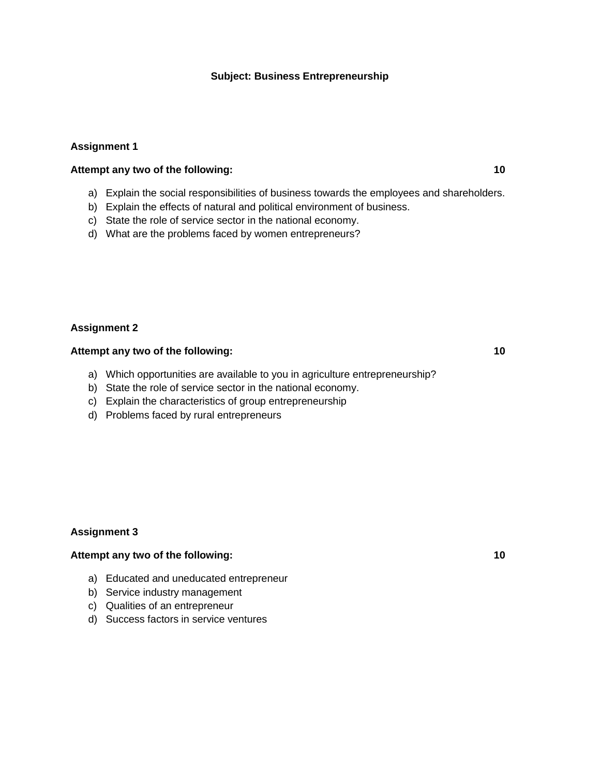#### **Subject: Business Entrepreneurship**

## **Assignment 1**

## **Attempt any two of the following: 10**

- a) Explain the social responsibilities of business towards the employees and shareholders.
- b) Explain the effects of natural and political environment of business.
- c) State the role of service sector in the national economy.
- d) What are the problems faced by women entrepreneurs?

#### **Assignment 2**

# **Attempt any two of the following: 10**

- a) Which opportunities are available to you in agriculture entrepreneurship?
- b) State the role of service sector in the national economy.
- c) Explain the characteristics of group entrepreneurship
- d) Problems faced by rural entrepreneurs

#### **Assignment 3**

- a) Educated and uneducated entrepreneur
- b) Service industry management
- c) Qualities of an entrepreneur
- d) Success factors in service ventures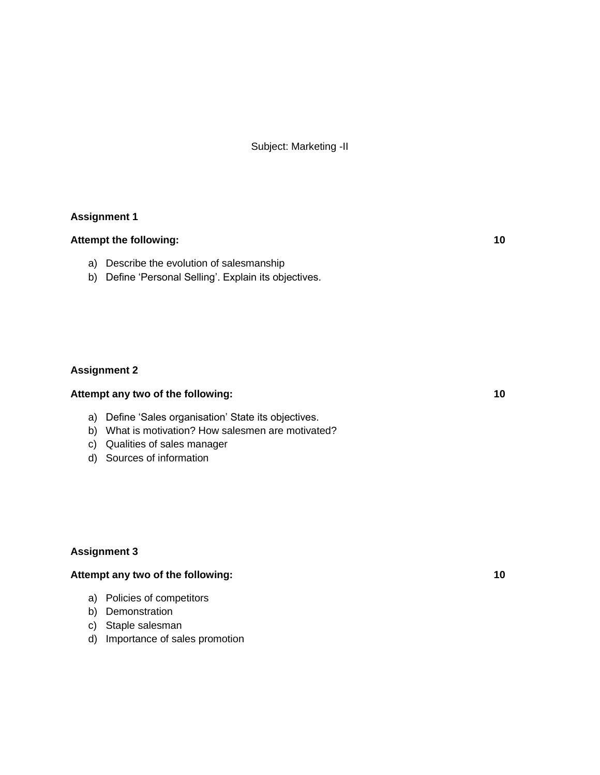Subject: Marketing -II

## **Assignment 1**

## Attempt the following: 10

- a) Describe the evolution of salesmanship
- b) Define 'Personal Selling'. Explain its objectives.

## **Assignment 2**

## **Attempt any two of the following: 10**

- a) Define 'Sales organisation' State its objectives.
- b) What is motivation? How salesmen are motivated?
- c) Qualities of sales manager
- d) Sources of information

## **Assignment 3**

- a) Policies of competitors
- b) Demonstration
- c) Staple salesman
- d) Importance of sales promotion